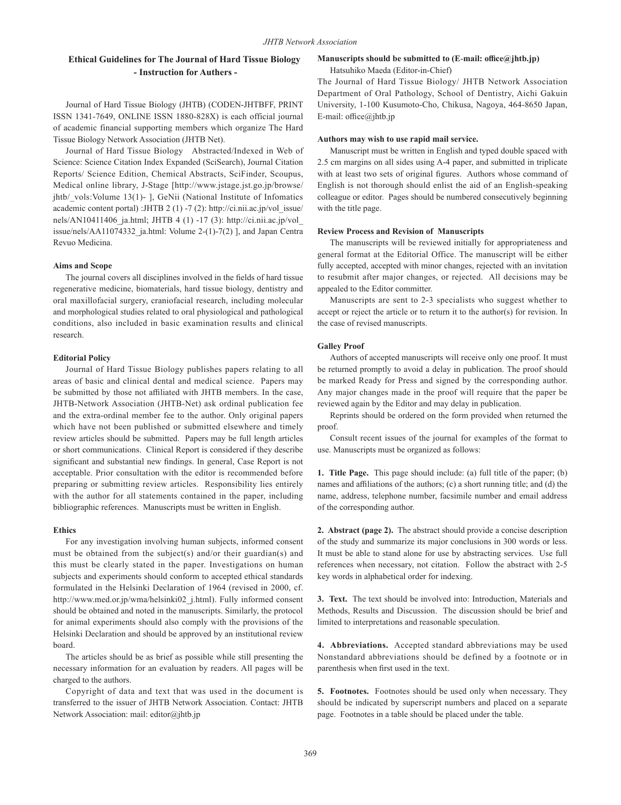# **Ethical Guidelines for The Journal of Hard Tissue Biology - Instruction for Authers -**

Journal of Hard Tissue Biology (JHTB) (CODEN-JHTBFF, PRINT ISSN 1341-7649, ONLINE ISSN 1880-828X) is each official journal of academic financial supporting members which organize The Hard Tissue Biology Network Association (JHTB Net).

Journal of Hard Tissue Biology Abstracted/Indexed in Web of Science: Science Citation Index Expanded (SciSearch), Journal Citation Reports/ Science Edition, Chemical Abstracts, SciFinder, Scoupus, Medical online library, J-Stage [http://www.jstage.jst.go.jp/browse/ jhtb/ vols:Volume 13(1)- ], GeNii (National Institute of Infomatics academic content portal) :JHTB 2 (1) -7 (2): http://ci.nii.ac.jp/vol\_issue/ nels/AN10411406 ja.html; JHTB 4 (1) -17 (3): http://ci.nii.ac.jp/vol issue/nels/AA11074332\_ja.html: Volume 2-(1)-7(2) ], and Japan Centra Revuo Medicina.

#### **Aims and Scope**

The journal covers all disciplines involved in the fields of hard tissue regenerative medicine, biomaterials, hard tissue biology, dentistry and oral maxillofacial surgery, craniofacial research, including molecular and morphological studies related to oral physiological and pathological conditions, also included in basic examination results and clinical research.

# **Editorial Policy**

Journal of Hard Tissue Biology publishes papers relating to all areas of basic and clinical dental and medical science. Papers may be submitted by those not affiliated with JHTB members. In the case, JHTB-Network Association (JHTB-Net) ask ordinal publication fee and the extra-ordinal member fee to the author. Only original papers which have not been published or submitted elsewhere and timely review articles should be submitted. Papers may be full length articles or short communications. Clinical Report is considered if they describe significant and substantial new findings. In general, Case Report is not acceptable. Prior consultation with the editor is recommended before preparing or submitting review articles. Responsibility lies entirely with the author for all statements contained in the paper, including bibliographic references. Manuscripts must be written in English.

# **Ethics**

For any investigation involving human subjects, informed consent must be obtained from the subject(s) and/or their guardian(s) and this must be clearly stated in the paper. Investigations on human subjects and experiments should conform to accepted ethical standards formulated in the Helsinki Declaration of 1964 (revised in 2000, cf. http://www.med.or.jp/wma/helsinki02\_j.html). Fully informed consent should be obtained and noted in the manuscripts. Similarly, the protocol for animal experiments should also comply with the provisions of the Helsinki Declaration and should be approved by an institutional review board.

The articles should be as brief as possible while still presenting the necessary information for an evaluation by readers. All pages will be charged to the authors.

Copyright of data and text that was used in the document is transferred to the issuer of JHTB Network Association. Contact: JHTB Network Association: mail: editor@jhtb.jp

# **Manuscripts should be submitted to (E**-**mail: office@jhtb.jp)**

Hatsuhiko Maeda (Editor-in-Chief)

The Journal of Hard Tissue Biology/ JHTB Network Association Department of Oral Pathology, School of Dentistry, Aichi Gakuin University, 1-100 Kusumoto-Cho, Chikusa, Nagoya, 464-8650 Japan, E-mail: office@jhtb.jp

#### **Authors may wish to use rapid mail service.**

Manuscript must be written in English and typed double spaced with 2.5 cm margins on all sides using A-4 paper, and submitted in triplicate with at least two sets of original figures. Authors whose command of English is not thorough should enlist the aid of an English-speaking colleague or editor. Pages should be numbered consecutively beginning with the title page.

#### **Review Process and Revision of Manuscripts**

The manuscripts will be reviewed initially for appropriateness and general format at the Editorial Office. The manuscript will be either fully accepted, accepted with minor changes, rejected with an invitation to resubmit after major changes, or rejected. All decisions may be appealed to the Editor committer.

Manuscripts are sent to 2-3 specialists who suggest whether to accept or reject the article or to return it to the author(s) for revision. In the case of revised manuscripts.

#### **Galley Proof**

Authors of accepted manuscripts will receive only one proof. It must be returned promptly to avoid a delay in publication. The proof should be marked Ready for Press and signed by the corresponding author. Any major changes made in the proof will require that the paper be reviewed again by the Editor and may delay in publication.

Reprints should be ordered on the form provided when returned the proof.

Consult recent issues of the journal for examples of the format to use. Manuscripts must be organized as follows:

**1. Title Page.** This page should include: (a) full title of the paper; (b) names and affiliations of the authors; (c) a short running title; and (d) the name, address, telephone number, facsimile number and email address of the corresponding author.

**2. Abstract (page 2).** The abstract should provide a concise description of the study and summarize its major conclusions in 300 words or less. It must be able to stand alone for use by abstracting services. Use full references when necessary, not citation. Follow the abstract with 2-5 key words in alphabetical order for indexing.

**3. Text.** The text should be involved into: Introduction, Materials and Methods, Results and Discussion. The discussion should be brief and limited to interpretations and reasonable speculation.

**4. Abbreviations.** Accepted standard abbreviations may be used Nonstandard abbreviations should be defined by a footnote or in parenthesis when first used in the text.

**5. Footnotes.** Footnotes should be used only when necessary. They should be indicated by superscript numbers and placed on a separate page. Footnotes in a table should be placed under the table.